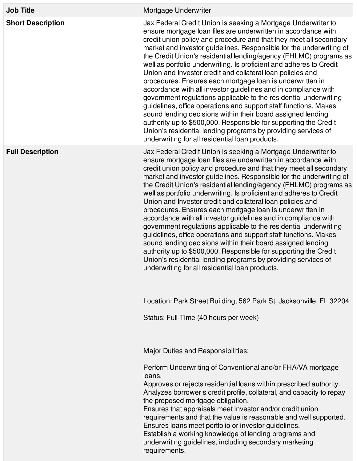| <b>Job Title</b>         | Mortgage Underwriter                                                                                                                                                                                                                                                                                                                                                                                                                                                                                                                                                                                                                                                                                                                                                                                                                                                                                                                                                                                                  |
|--------------------------|-----------------------------------------------------------------------------------------------------------------------------------------------------------------------------------------------------------------------------------------------------------------------------------------------------------------------------------------------------------------------------------------------------------------------------------------------------------------------------------------------------------------------------------------------------------------------------------------------------------------------------------------------------------------------------------------------------------------------------------------------------------------------------------------------------------------------------------------------------------------------------------------------------------------------------------------------------------------------------------------------------------------------|
| <b>Short Description</b> | Jax Federal Credit Union is seeking a Mortgage Underwriter to<br>ensure mortgage loan files are underwritten in accordance with<br>credit union policy and procedure and that they meet all secondary<br>market and investor guidelines. Responsible for the underwriting of<br>the Credit Union's residential lending/agency (FHLMC) programs as<br>well as portfolio underwriting. Is proficient and adheres to Credit<br>Union and Investor credit and collateral loan policies and<br>procedures. Ensures each mortgage loan is underwritten in<br>accordance with all investor guidelines and in compliance with<br>government regulations applicable to the residential underwriting<br>guidelines, office operations and support staff functions. Makes<br>sound lending decisions within their board assigned lending<br>authority up to \$500,000. Responsible for supporting the Credit<br>Union's residential lending programs by providing services of<br>underwriting for all residential loan products. |
| <b>Full Description</b>  | Jax Federal Credit Union is seeking a Mortgage Underwriter to<br>ensure mortgage loan files are underwritten in accordance with<br>credit union policy and procedure and that they meet all secondary<br>market and investor guidelines. Responsible for the underwriting of<br>the Credit Union's residential lending/agency (FHLMC) programs as<br>well as portfolio underwriting. Is proficient and adheres to Credit<br>Union and Investor credit and collateral loan policies and<br>procedures. Ensures each mortgage loan is underwritten in<br>accordance with all investor guidelines and in compliance with<br>government regulations applicable to the residential underwriting<br>guidelines, office operations and support staff functions. Makes<br>sound lending decisions within their board assigned lending<br>authority up to \$500,000. Responsible for supporting the Credit<br>Union's residential lending programs by providing services of<br>underwriting for all residential loan products. |
|                          | Location: Park Street Building, 562 Park St, Jacksonville, FL 32204                                                                                                                                                                                                                                                                                                                                                                                                                                                                                                                                                                                                                                                                                                                                                                                                                                                                                                                                                   |
|                          | Status: Full-Time (40 hours per week)                                                                                                                                                                                                                                                                                                                                                                                                                                                                                                                                                                                                                                                                                                                                                                                                                                                                                                                                                                                 |
|                          | Major Duties and Responsibilities:                                                                                                                                                                                                                                                                                                                                                                                                                                                                                                                                                                                                                                                                                                                                                                                                                                                                                                                                                                                    |
|                          | Perform Underwriting of Conventional and/or FHA/VA mortgage<br>loans.<br>Approves or rejects residential loans within prescribed authority.<br>Analyzes borrower's credit profile, collateral, and capacity to repay<br>the proposed mortgage obligation.<br>Ensures that appraisals meet investor and/or credit union<br>requirements and that the value is reasonable and well supported.<br>Ensures loans meet portfolio or investor guidelines.<br>Establish a working knowledge of lending programs and<br>underwriting guidelines, including secondary marketing<br>requirements.                                                                                                                                                                                                                                                                                                                                                                                                                               |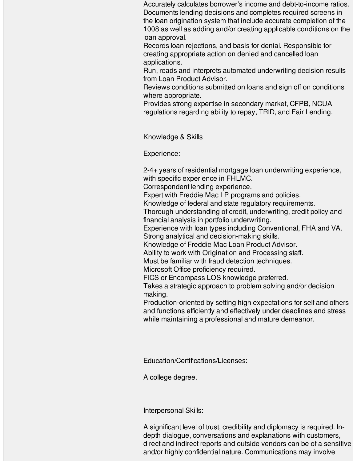Accurately calculates borrower's income and debt-to-income ratios. Documents lending decisions and completes required screens in the loan origination system that include accurate completion of the 1008 as well as adding and/or creating applicable conditions on the loan approval.

Records loan rejections, and basis for denial. Responsible for creating appropriate action on denied and cancelled loan applications.

Run, reads and interprets automated underwriting decision results from Loan Product Advisor.

Reviews conditions submitted on loans and sign off on conditions where appropriate.

Provides strong expertise in secondary market, CFPB, NCUA regulations regarding ability to repay, TRID, and Fair Lending.

Knowledge & Skills

Experience:

2-4+ years of residential mortgage loan underwriting experience, with specific experience in FHLMC.

Correspondent lending experience.

Expert with Freddie Mac LP programs and policies.

Knowledge of federal and state regulatory requirements.

Thorough understanding of credit, underwriting, credit policy and financial analysis in portfolio underwriting.

Experience with loan types including Conventional, FHA and VA. Strong analytical and decision-making skills.

Knowledge of Freddie Mac Loan Product Advisor.

Ability to work with Origination and Processing staff.

Must be familiar with fraud detection techniques.

Microsoft Office proficiency required.

FICS or Encompass LOS knowledge preferred.

Takes a strategic approach to problem solving and/or decision making.

Production-oriented by setting high expectations for self and others and functions efficiently and effectively under deadlines and stress while maintaining a professional and mature demeanor.

Education/Certifications/Licenses:

A college degree.

Interpersonal Skills:

A significant level of trust, credibility and diplomacy is required. Indepth dialogue, conversations and explanations with customers, direct and indirect reports and outside vendors can be of a sensitive and/or highly confidential nature. Communications may involve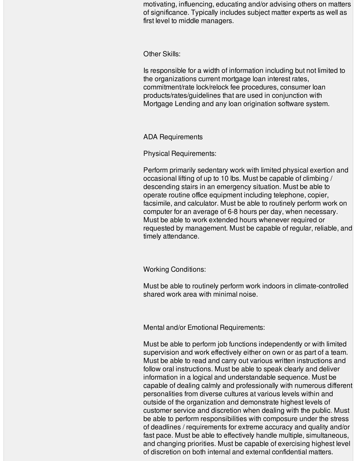motivating, influencing, educating and/or advising others on matters of significance. Typically includes subject matter experts as well as first level to middle managers.

Other Skills:

Is responsible for a width of information including but not limited to the organizations current mortgage loan interest rates, commitment/rate lock/relock fee procedures, consumer loan products/rates/guidelines that are used in conjunction with Mortgage Lending and any loan origination software system.

ADA Requirements

Physical Requirements:

Perform primarily sedentary work with limited physical exertion and occasional lifting of up to 10 lbs. Must be capable of climbing / descending stairs in an emergency situation. Must be able to operate routine office equipment including telephone, copier, facsimile, and calculator. Must be able to routinely perform work on computer for an average of 6-8 hours per day, when necessary. Must be able to work extended hours whenever required or requested by management. Must be capable of regular, reliable, and timely attendance.

Working Conditions:

Must be able to routinely perform work indoors in climate-controlled shared work area with minimal noise.

Mental and/or Emotional Requirements:

Must be able to perform job functions independently or with limited supervision and work effectively either on own or as part of a team. Must be able to read and carry out various written instructions and follow oral instructions. Must be able to speak clearly and deliver information in a logical and understandable sequence. Must be capable of dealing calmly and professionally with numerous different personalities from diverse cultures at various levels within and outside of the organization and demonstrate highest levels of customer service and discretion when dealing with the public. Must be able to perform responsibilities with composure under the stress of deadlines / requirements for extreme accuracy and quality and/or fast pace. Must be able to effectively handle multiple, simultaneous, and changing priorities. Must be capable of exercising highest level of discretion on both internal and external confidential matters.